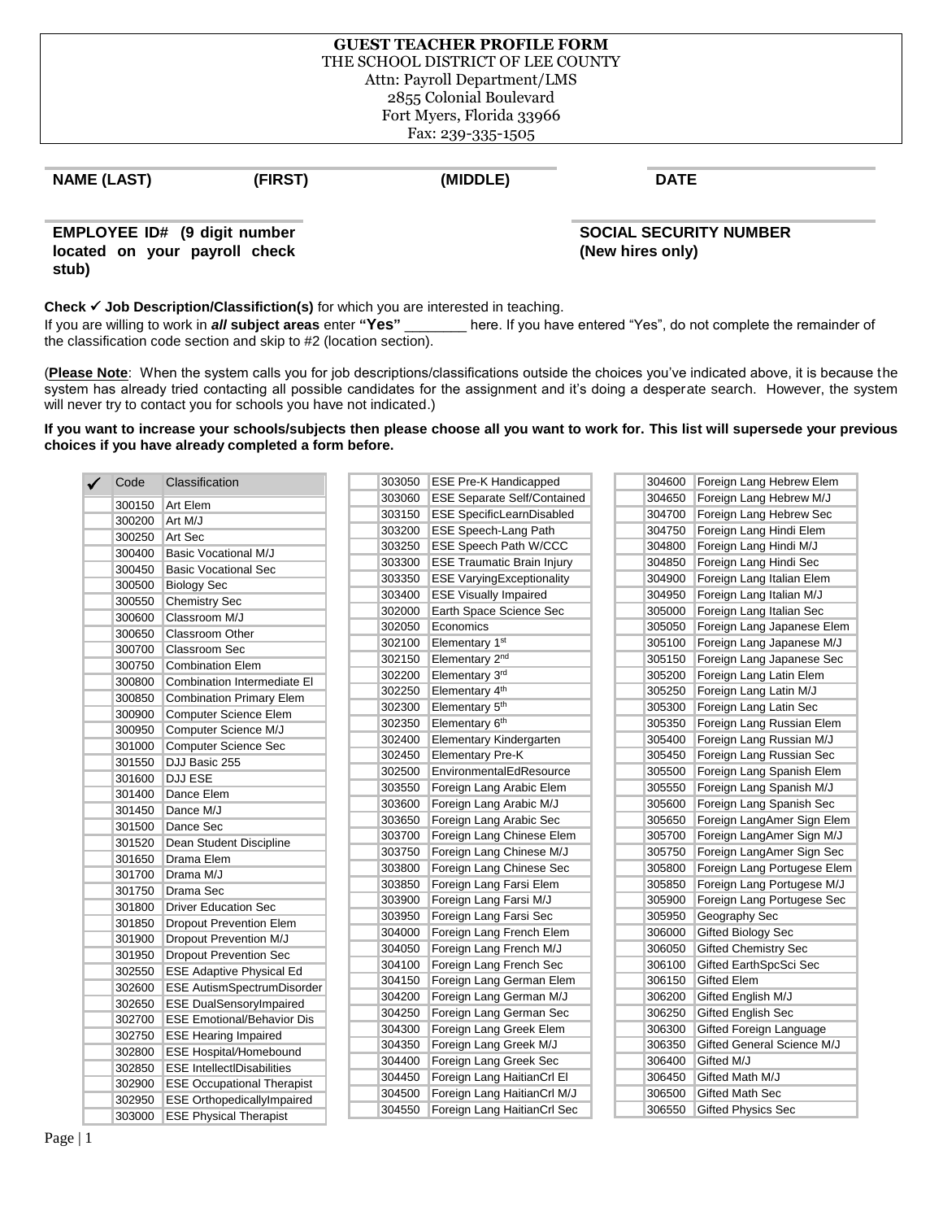#### **GUEST TEACHER PROFILE FORM** THE SCHOOL DISTRICT OF LEE COUNTY Attn: Payroll Department/LMS 2855 Colonial Boulevard Fort Myers, Florida 33966 Fax: 239-335-1505

# **NAME (LAST) (FIRST) (MIDDLE) DATE**

**EMPLOYEE ID# (9 digit number located on your payroll check stub)** 

 **SOCIAL SECURITY NUMBER (New hires only)**

**Check** ✓ **Job Description/Classifiction(s)** for which you are interested in teaching.

If you are willing to work in *all* **subject areas** enter **"Yes"** \_\_\_\_\_\_\_\_ here. If you have entered "Yes", do not complete the remainder of the classification code section and skip to #2 (location section).

(**Please Note**: When the system calls you for job descriptions/classifications outside the choices you've indicated above, it is because the system has already tried contacting all possible candidates for the assignment and it's doing a desperate search. However, the system will never try to contact you for schools you have not indicated.)

**If you want to increase your schools/subjects then please choose all you want to work for. This list will supersede your previous choices if you have already completed a form before.** 

| Code   | Classification                                           | 303050 | <b>ESE Pre-K Handicapped</b>       | 304600 | Foreign Lang Hebrew Elem    |
|--------|----------------------------------------------------------|--------|------------------------------------|--------|-----------------------------|
| 300150 | <b>Art Elem</b>                                          | 303060 | <b>ESE Separate Self/Contained</b> | 304650 | Foreign Lang Hebrew M/J     |
| 300200 | Art M/J                                                  | 303150 | <b>ESE SpecificLearnDisabled</b>   | 304700 | Foreign Lang Hebrew Sec     |
| 300250 | Art Sec                                                  | 303200 | <b>ESE Speech-Lang Path</b>        | 304750 | Foreign Lang Hindi Elem     |
| 300400 | <b>Basic Vocational M/J</b>                              | 303250 | <b>ESE Speech Path W/CCC</b>       | 304800 | Foreign Lang Hindi M/J      |
| 300450 | <b>Basic Vocational Sec</b>                              | 303300 | <b>ESE Traumatic Brain Injury</b>  | 304850 | Foreign Lang Hindi Sec      |
| 300500 | <b>Biology Sec</b>                                       | 303350 | <b>ESE VaryingExceptionality</b>   | 304900 | Foreign Lang Italian Elem   |
| 300550 | <b>Chemistry Sec</b>                                     | 303400 | <b>ESE Visually Impaired</b>       | 304950 | Foreign Lang Italian M/J    |
| 300600 | Classroom M/J                                            | 302000 | Earth Space Science Sec            | 305000 | Foreign Lang Italian Sec    |
| 300650 | <b>Classroom Other</b>                                   | 302050 | Economics                          | 305050 | Foreign Lang Japanese Elem  |
| 300700 | <b>Classroom Sec</b>                                     | 302100 | Elementary 1 <sup>st</sup>         | 305100 | Foreign Lang Japanese M/J   |
| 300750 | <b>Combination Elem</b>                                  | 302150 | Elementary 2 <sup>nd</sup>         | 305150 | Foreign Lang Japanese Sec   |
| 300800 | Combination Intermediate El                              | 302200 | Elementary 3rd                     | 305200 | Foreign Lang Latin Elem     |
| 300850 |                                                          | 302250 | Elementary 4 <sup>th</sup>         | 305250 | Foreign Lang Latin M/J      |
| 300900 | <b>Combination Primary Elem</b><br>Computer Science Elem | 302300 | Elementary 5 <sup>th</sup>         | 305300 | Foreign Lang Latin Sec      |
|        |                                                          | 302350 | Elementary 6th                     | 305350 | Foreign Lang Russian Elem   |
| 300950 | Computer Science M/J                                     | 302400 | Elementary Kindergarten            | 305400 | Foreign Lang Russian M/J    |
| 301000 | Computer Science Sec                                     | 302450 | Elementary Pre-K                   | 305450 | Foreign Lang Russian Sec    |
| 301550 | DJJ Basic 255                                            | 302500 | EnvironmentalEdResource            | 305500 | Foreign Lang Spanish Elem   |
| 301600 | <b>DJJ ESE</b>                                           | 303550 | Foreign Lang Arabic Elem           | 305550 | Foreign Lang Spanish M/J    |
| 301400 | Dance Elem                                               | 303600 | Foreign Lang Arabic M/J            | 305600 | Foreign Lang Spanish Sec    |
| 301450 | Dance M/J                                                | 303650 | Foreign Lang Arabic Sec            | 305650 | Foreign LangAmer Sign Elem  |
| 301500 | Dance Sec                                                | 303700 | Foreign Lang Chinese Elem          | 305700 | Foreign LangAmer Sign M/J   |
| 301520 | Dean Student Discipline                                  | 303750 | Foreign Lang Chinese M/J           | 305750 | Foreign LangAmer Sign Sec   |
| 301650 | Drama Elem                                               | 303800 | Foreign Lang Chinese Sec           | 305800 | Foreign Lang Portugese Elem |
| 301700 | Drama M/J                                                | 303850 | Foreign Lang Farsi Elem            | 305850 | Foreign Lang Portugese M/J  |
| 301750 | Drama Sec                                                | 303900 | Foreign Lang Farsi M/J             | 305900 | Foreign Lang Portugese Sec  |
| 301800 | <b>Driver Education Sec</b>                              | 303950 | Foreign Lang Farsi Sec             | 305950 | Geography Sec               |
| 301850 | <b>Dropout Prevention Elem</b>                           | 304000 | Foreign Lang French Elem           | 306000 | Gifted Biology Sec          |
| 301900 | Dropout Prevention M/J                                   | 304050 | Foreign Lang French M/J            | 306050 | <b>Gifted Chemistry Sec</b> |
| 301950 | <b>Dropout Prevention Sec</b>                            | 304100 | Foreign Lang French Sec            | 306100 | Gifted EarthSpcSci Sec      |
| 302550 | <b>ESE Adaptive Physical Ed</b>                          | 304150 | Foreign Lang German Elem           | 306150 | <b>Gifted Elem</b>          |
| 302600 | <b>ESE AutismSpectrumDisorder</b>                        | 304200 | Foreign Lang German M/J            | 306200 | Gifted English M/J          |
| 302650 | <b>ESE DualSensoryImpaired</b>                           | 304250 | Foreign Lang German Sec            | 306250 | <b>Gifted English Sec</b>   |
| 302700 | <b>ESE Emotional/Behavior Dis</b>                        | 304300 | Foreign Lang Greek Elem            | 306300 | Gifted Foreign Language     |
| 302750 | <b>ESE Hearing Impaired</b>                              | 304350 | Foreign Lang Greek M/J             | 306350 | Gifted General Science M/J  |
| 302800 | <b>ESE Hospital/Homebound</b>                            | 304400 | Foreign Lang Greek Sec             | 306400 | Gifted M/J                  |
| 302850 | <b>ESE IntellectIDisabilities</b>                        | 304450 | Foreign Lang HaitianCrl El         | 306450 | Gifted Math M/J             |
| 302900 | <b>ESE Occupational Therapist</b>                        | 304500 |                                    |        |                             |
| 302950 | <b>ESE OrthopedicallyImpaired</b>                        |        | Foreign Lang HaitianCrl M/J        | 306500 | Gifted Math Sec             |
| 303000 | <b>ESE Physical Therapist</b>                            | 304550 | Foreign Lang HaitianCrl Sec        | 306550 | <b>Gifted Physics Sec</b>   |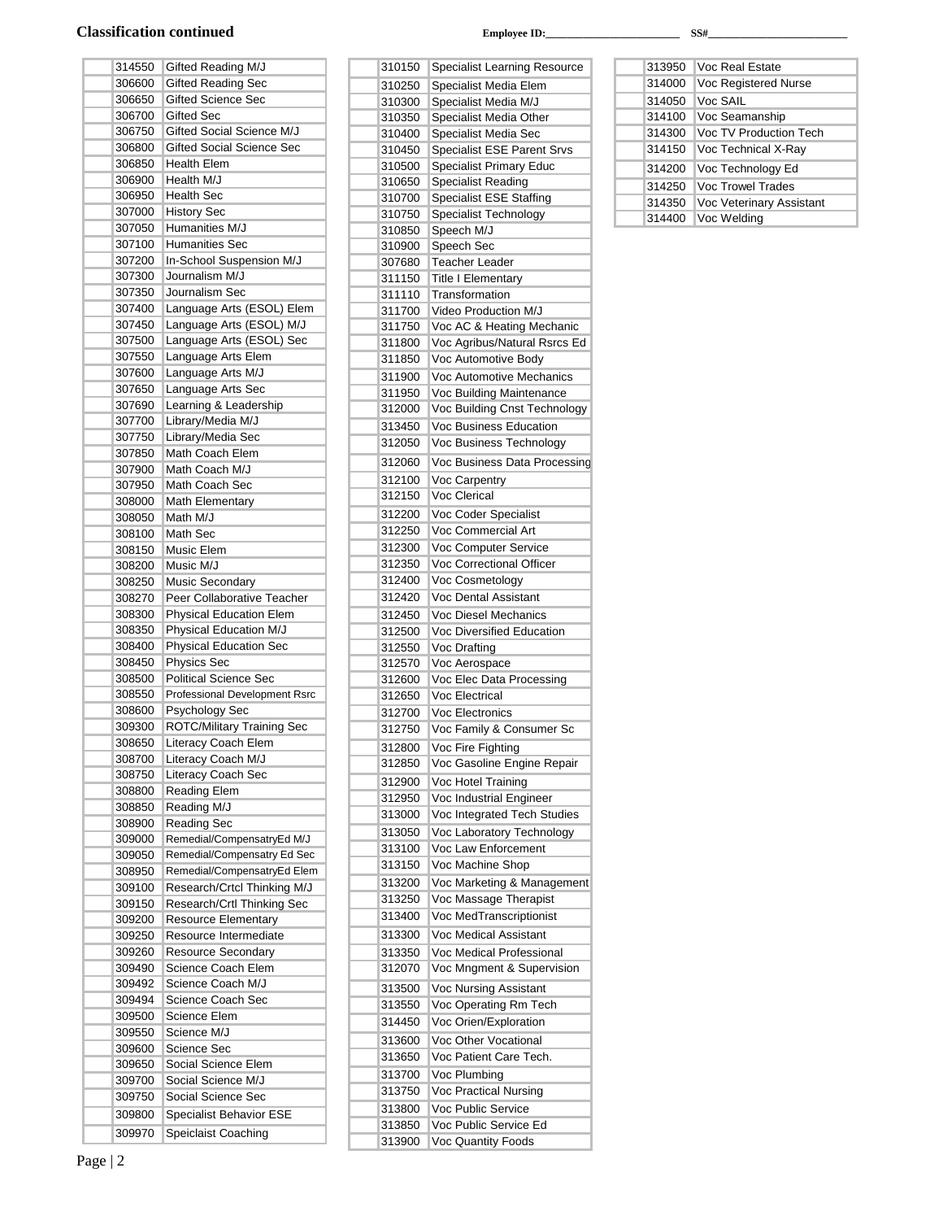### Classification continued **Employee ID:** SS#

| 314550           | Gifted Reading M/J                       |
|------------------|------------------------------------------|
| 306600           | <b>Gifted Reading Sec</b>                |
| 306650           | <b>Gifted Science Sec</b>                |
| 306700           | <b>Gifted Sec</b>                        |
| 306750           | Gifted Social Science M/J                |
| 306800           | <b>Gifted Social Science Sec</b>         |
| 306850           | <b>Health Elem</b>                       |
| 306900           | Health M/J                               |
| 306950           | <b>Health Sec</b>                        |
| 307000           | <b>History Sec</b>                       |
| 307050           | Humanities M/J                           |
| 307100           | <b>Humanities Sec</b>                    |
| 307200           | In-School Suspension M/J                 |
| 307300           | Journalism M/J                           |
| 307350           | Journalism Sec                           |
| 307400           | Language Arts (ESOL) Elem                |
| 307450           | Language Arts (ESOL) M/J                 |
| 307500           | Language Arts (ESOL) Sec                 |
| 307550           | Language Arts Elem                       |
| 307600           | Language Arts M/J                        |
| 307650           | Language Arts Sec                        |
| 307690           | Learning & Leadership                    |
| 307700           | Library/Media M/J                        |
| 307750           | Library/Media Sec                        |
| 307850           | Math Coach Elem                          |
| 307900           | Math Coach M/J                           |
| 307950<br>308000 | Math Coach Sec                           |
| 308050           | <b>Math Elementary</b><br>Math M/J       |
| 308100           | Math Sec                                 |
| 308150           | Music Elem                               |
| 308200           | Music M/J                                |
| 308250           | Music Secondary                          |
| 308270           | Peer Collaborative Teacher               |
| 308300           | <b>Physical Education Elem</b>           |
| 308350           | Physical Education M/J                   |
| 308400           | <b>Physical Education Sec</b>            |
| 308450           | <b>Physics Sec</b>                       |
| 308500           | <b>Political Science Sec</b>             |
| 308550           | Professional Development Rsrc            |
| 308600           | Psychology Sec                           |
| 309300           | <b>ROTC/Military Training Sec</b>        |
| 308650           | Literacy Coach Elem                      |
| 308700           | Literacy Coach M/J<br>Literacy Coach Sec |
| 308750<br>308800 | Reading Elem                             |
| 308850           | Reading M/J                              |
| 308900           | <b>Reading Sec</b>                       |
| 309000           | Remedial/CompensatryEd M/J               |
| 309050           | Remedial/Compensatry Ed Sec              |
| 308950           | Remedial/CompensatryEd Elem              |
| 309100           | Research/Crtcl Thinking M/J              |
| 309150           | Research/Crtl Thinking Sec               |
| 309200           | Resource Elementary                      |
| 309250           | Resource Intermediate                    |
| 309260           | <b>Resource Secondary</b>                |
| 309490           | Science Coach Elem                       |
| 309492           | Science Coach M/J                        |
| 309494           | Science Coach Sec                        |
|                  |                                          |
| 309500           | Science Elem                             |
| 309550<br>309600 | Science M/J<br>Science Sec               |

 Social Science Elem Social Science M/J Social Science Sec Specialist Behavior ESE Speiclaist Coaching

| 310150           | <b>Specialist Learning Resource</b>                       |
|------------------|-----------------------------------------------------------|
| 310250           | Specialist Media Elem                                     |
| 310300           | Specialist Media M/J                                      |
| 310350           | Specialist Media Other                                    |
| 310400           | Specialist Media Sec                                      |
| 310450           | <b>Specialist ESE Parent Srvs</b>                         |
| 310500           | <b>Specialist Primary Educ</b>                            |
| 310650           | <b>Specialist Reading</b>                                 |
| 310700           | <b>Specialist ESE Staffing</b>                            |
| 310750           | <b>Specialist Technology</b>                              |
| 310850           | Speech M/J                                                |
| 310900           | Speech Sec                                                |
| 307680           | <b>Teacher Leader</b>                                     |
| 311150           | <b>Title I Elementary</b>                                 |
| 311110           | Transformation                                            |
| 311700<br>311750 | Video Production M/J                                      |
| 311800           | Voc AC & Heating Mechanic<br>Voc Agribus/Natural Rsrcs Ed |
| 311850           | Voc Automotive Body                                       |
|                  | Voc Automotive Mechanics                                  |
| 311900<br>311950 |                                                           |
| 312000           | Voc Building Maintenance<br>Voc Building Cnst Technology  |
| 313450           | Voc Business Education                                    |
|                  | Voc Business Technology                                   |
| 312050           |                                                           |
| 312060           | Voc Business Data Processing                              |
| 312100           | Voc Carpentry                                             |
| 312150           | Voc Clerical                                              |
| 312200           | Voc Coder Specialist                                      |
| 312250           | Voc Commercial Art                                        |
| 312300           | Voc Computer Service                                      |
| 312350           | Voc Correctional Officer                                  |
| 312400           | Voc Cosmetology                                           |
| 312420           | Voc Dental Assistant                                      |
| 312450           | Voc Diesel Mechanics                                      |
| 312500           | Voc Diversified Education                                 |
| 312550           | Voc Drafting                                              |
| 312570           | Voc Aerospace                                             |
| 312600           | Voc Elec Data Processing                                  |
| 312650           | <b>Voc Electrical</b>                                     |
| 312700           | Voc Electronics                                           |
| 312750           | Voc Family & Consumer Sc                                  |
| 312800           | Voc Fire Fighting                                         |
| 312850           | Voc Gasoline Engine Repair                                |
| 312900           | Voc Hotel Training                                        |
| 312950           | Voc Industrial Engineer                                   |
| 313000           | Voc Integrated Tech Studies                               |
| 313050           | Voc Laboratory Technology                                 |
| 313100           | Voc Law Enforcement                                       |
| 313150           | Voc Machine Shop                                          |
| 313200           | Voc Marketing & Management                                |
| 313250           | Voc Massage Therapist                                     |
| 313400           | Voc MedTranscriptionist                                   |
| 313300           | Voc Medical Assistant                                     |
| 313350           | Voc Medical Professional                                  |
| 312070           | Voc Mngment & Supervision                                 |
| 313500           | Voc Nursing Assistant                                     |
| 313550           | Voc Operating Rm Tech                                     |
| 314450           | Voc Orien/Exploration                                     |
| 313600           | Voc Other Vocational                                      |
| 313650           | Voc Patient Care Tech.                                    |
| 313700           | Voc Plumbing                                              |
| 313750           | Voc Practical Nursing                                     |
| 313800           | Voc Public Service                                        |
| 313850           | Voc Public Service Ed                                     |
| 313900           | Voc Quantity Foods                                        |
|                  |                                                           |

| 313950 | Voc Real Estate                 |
|--------|---------------------------------|
| 314000 | Voc Registered Nurse            |
| 314050 | Voc SAIL                        |
| 314100 | Voc Seamanship                  |
| 314300 | Voc TV Production Tech          |
| 314150 | Voc Technical X-Ray             |
| 314200 | Voc Technology Ed               |
| 314250 | <b>Voc Trowel Trades</b>        |
| 314350 | <b>Voc Veterinary Assistant</b> |
| 314400 | Voc Welding                     |
|        |                                 |